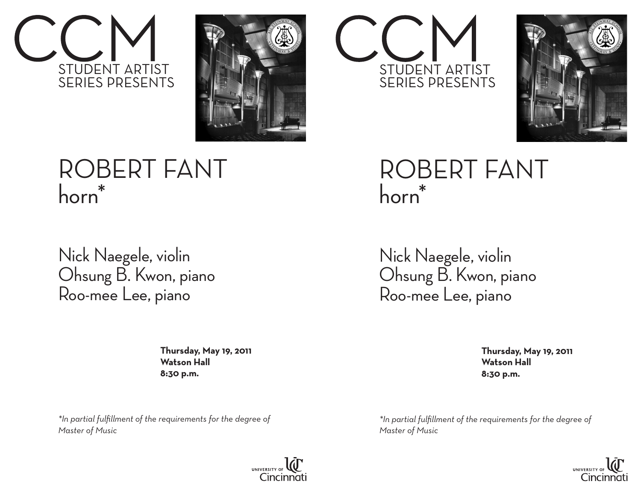



## ROBERT FANT horn\*

Nick Naegele, violin Ohsung B. Kwon, piano Roo-mee Lee, piano

> **Thursday, May 19, 2011 Watson Hall 8:30 p.m.**

*\*In partial fulfillment of the requirements for the degree of Master of Music*